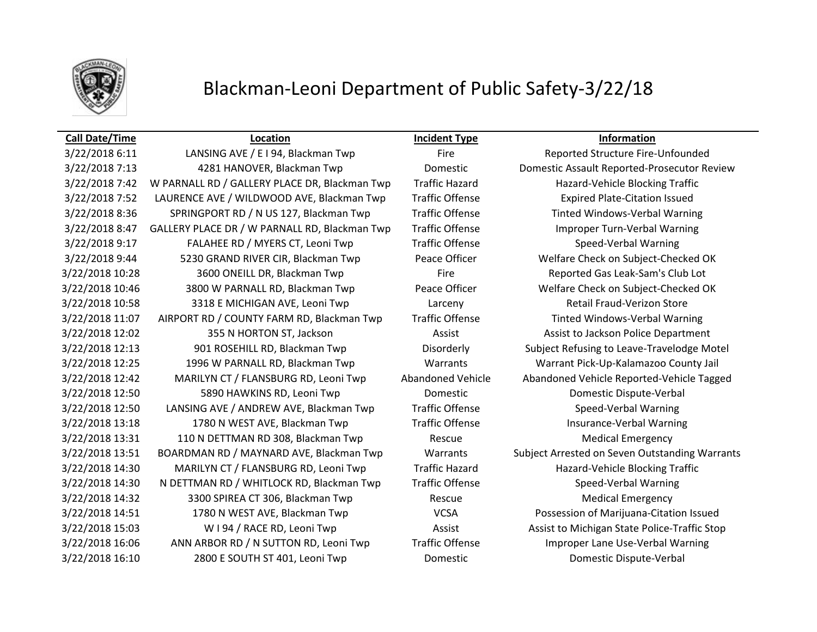

## Blackman-Leoni Department of Public Safety-3/22/18

## **Call Date/Time Location Incident Type Information**

3/22/2018 7:13 4281 HANOVER, Blackman Twp Domestic Domestic Assault Reported-Prosecutor Review 3/22/2018 7:42 W PARNALL RD / GALLERY PLACE DR, Blackman Twp Traffic Hazard Hazard-Vehicle Blocking Traffic 3/22/2018 7:52 LAURENCE AVE / WILDWOOD AVE, Blackman Twp Traffic Offense Expired Plate-Citation Issued 3/22/2018 8:36 SPRINGPORT RD / N US 127, Blackman Twp Traffic Offense Tinted Windows-Verbal Warning 3/22/2018 8:47 GALLERY PLACE DR / W PARNALL RD, Blackman Twp Traffic Offense Improper Turn-Verbal Warning 3/22/2018 9:17 FALAHEE RD / MYERS CT, Leoni Twp Traffic Offense Speed-Verbal Warning 3/22/2018 9:44 5230 GRAND RIVER CIR, Blackman Twp Peace Officer Welfare Check on Subject-Checked OK 3/22/2018 10:28 3600 ONEILL DR, Blackman Twp Fire Fire Reported Gas Leak-Sam's Club Lot 3/22/2018 10:46 3800 W PARNALL RD, Blackman Twp Peace Officer Welfare Check on Subject-Checked OK 3/22/2018 10:58 3318 E MICHIGAN AVE, Leoni Twp Larceny Retail Fraud-Verizon Store 3/22/2018 11:07 AIRPORT RD / COUNTY FARM RD, Blackman Twp Traffic Offense Tinted Windows-Verbal Warning 3/22/2018 12:02 355 N HORTON ST, Jackson Assist Assist Assist to Jackson Police Department 3/22/2018 12:13 901 ROSEHILL RD, Blackman Twp Disorderly Subject Refusing to Leave-Travelodge Motel 3/22/2018 12:25 1996 W PARNALL RD, Blackman Twp Warrants Warrant Pick-Up-Kalamazoo County Jail 3/22/2018 12:42 MARILYN CT / FLANSBURG RD, Leoni Twp Abandoned Vehicle Abandoned Vehicle Reported-Vehicle Tagged 3/22/2018 12:50 5890 HAWKINS RD, Leoni Twp Domestic Domestic Dispute-Verbal 3/22/2018 12:50 LANSING AVE / ANDREW AVE, Blackman Twp Traffic Offense Speed-Verbal Warning 3/22/2018 13:18 1780 N WEST AVE, Blackman Twp Traffic Offense Insurance-Verbal Warning 3/22/2018 13:31 110 N DETTMAN RD 308, Blackman Twp Rescue Rescue Medical Emergency 3/22/2018 13:51 BOARDMAN RD / MAYNARD AVE, Blackman Twp Warrants Subject Arrested on Seven Outstanding Warrants 3/22/2018 14:30 MARILYN CT / FLANSBURG RD, Leoni Twp Traffic Hazard Hazard-Vehicle Blocking Traffic 3/22/2018 14:30 N DETTMAN RD / WHITLOCK RD, Blackman Twp Traffic Offense Speed-Verbal Warning 3/22/2018 14:32 3300 SPIREA CT 306, Blackman Twp Rescue Rescue Medical Emergency 3/22/2018 14:51 1780 N WEST AVE, Blackman Twp VCSA Possession of Marijuana-Citation Issued 3/22/2018 15:03 W I 94 / RACE RD, Leoni Twp **Assist Assist Assist to Michigan State Police-Traffic Stop** 3/22/2018 16:06 ANN ARBOR RD / N SUTTON RD, Leoni Twp Traffic Offense Improper Lane Use-Verbal Warning 3/22/2018 16:10 2800 E SOUTH ST 401, Leoni Twp Domestic Domestic Dispute-Verbal

3/22/2018 6:11 LANSING AVE / E I 94, Blackman Twp Fire Fire Reported Structure Fire-Unfounded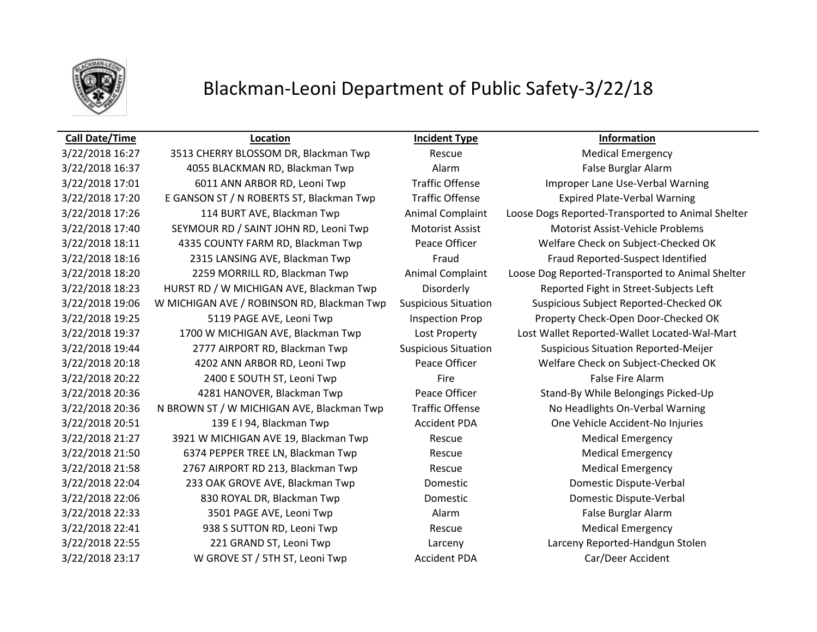

# Blackman-Leoni Department of Public Safety-3/22/18

### **Call Date/Time Location Incident Type Information**

3/22/2018 16:27 3513 CHERRY BLOSSOM DR, Blackman Twp Rescue Medical Emergency 3/22/2018 16:37 4055 BLACKMAN RD, Blackman Twp Alarm False Burglar Alarm 3/22/2018 17:20 E GANSON ST / N ROBERTS ST, Blackman Twp Traffic Offense Expired Plate-Verbal Warning 3/22/2018 17:40 SEYMOUR RD / SAINT JOHN RD, Leoni Twp Motorist Assist Motorist Assist-Vehicle Problems 3/22/2018 20:22 2400 E SOUTH ST, Leoni Twp Fire Fire Fire False Fire Alarm 3/22/2018 20:51 139 E I 94, Blackman Twp Accident PDA One Vehicle Accident-No Injuries 3/22/2018 21:27 3921 W MICHIGAN AVE 19, Blackman Twp Rescue Medical Emergency 3/22/2018 21:50 6374 PEPPER TREE LN, Blackman Twp Rescue Rescue Medical Emergency 3/22/2018 21:58 2767 AIRPORT RD 213, Blackman Twp Rescue Rescue Medical Emergency 3/22/2018 22:04 233 OAK GROVE AVE, Blackman Twp Domestic Domestic Dispute-Verbal 3/22/2018 22:06 830 ROYAL DR, Blackman Twp Domestic Domestic Dispute-Verbal 3/22/2018 22:33 3501 PAGE AVE, Leoni Twp Alarm Alarm Alarm False Burglar Alarm 3/22/2018 22:41 938 S SUTTON RD, Leoni Twp Rescue Rescue Medical Emergency

3/22/2018 17:01 6011 ANN ARBOR RD, Leoni Twp Traffic Offense Improper Lane Use-Verbal Warning 3/22/2018 17:26 114 BURT AVE, Blackman Twp Animal Complaint Loose Dogs Reported-Transported to Animal Shelter 3/22/2018 18:11 4335 COUNTY FARM RD, Blackman Twp Peace Officer Welfare Check on Subject-Checked OK 3/22/2018 18:16 2315 LANSING AVE, Blackman Twp Fraud Fraud Fraud Fraud Reported-Suspect Identified 3/22/2018 18:20 2259 MORRILL RD, Blackman Twp Animal Complaint Loose Dog Reported-Transported to Animal Shelter 3/22/2018 18:23 HURST RD / W MICHIGAN AVE, Blackman Twp Disorderly Reported Fight in Street-Subjects Left 3/22/2018 19:06 W MICHIGAN AVE / ROBINSON RD, Blackman Twp Suspicious Situation Suspicious Subject Reported-Checked OK 3/22/2018 19:25 5119 PAGE AVE, Leoni Twp Inspection Prop Property Check-Open Door-Checked OK 3/22/2018 19:37 1700 W MICHIGAN AVE, Blackman Twp Lost Property Lost Wallet Reported-Wallet Located-Wal-Mart 3/22/2018 19:44 2777 AIRPORT RD, Blackman Twp Suspicious Situation Suspicious Situation Reported-Meijer 3/22/2018 20:18 4202 ANN ARBOR RD, Leoni Twp Peace Officer Welfare Check on Subject-Checked OK 3/22/2018 20:36 4281 HANOVER, Blackman Twp Peace Officer Stand-By While Belongings Picked-Up 3/22/2018 20:36 N BROWN ST / W MICHIGAN AVE, Blackman Twp Traffic Offense No Headlights On-Verbal Warning 3/22/2018 22:55 221 GRAND ST, Leoni Twp Larceny Larceny Reported-Handgun Stolen 3/22/2018 23:17 W GROVE ST / 5TH ST, Leoni Twp Accident PDA Car/Deer Accident